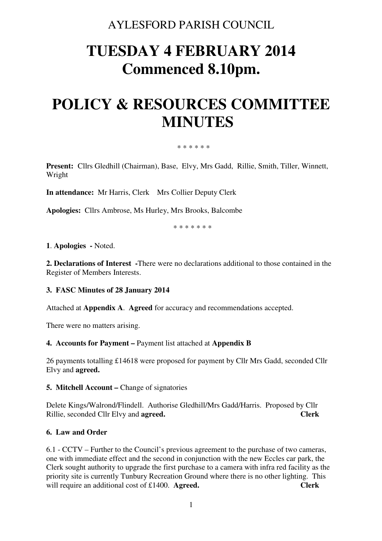# AYLESFORD PARISH COUNCIL

# **TUESDAY 4 FEBRUARY 2014 Commenced 8.10pm.**

# **POLICY & RESOURCES COMMITTEE MINUTES**

#### \* \* \* \* \* \*

**Present:** Cllrs Gledhill (Chairman), Base, Elvy, Mrs Gadd, Rillie, Smith, Tiller, Winnett, Wright

**In attendance:** Mr Harris, Clerk Mrs Collier Deputy Clerk

**Apologies:** Cllrs Ambrose, Ms Hurley, Mrs Brooks, Balcombe

\* \* \* \* \* \* \*

#### **1**. **Apologies -** Noted.

**2. Declarations of Interest -**There were no declarations additional to those contained in the Register of Members Interests.

## **3. FASC Minutes of 28 January 2014**

Attached at **Appendix A**. **Agreed** for accuracy and recommendations accepted.

There were no matters arising.

# **4. Accounts for Payment –** Payment list attached at **Appendix B**

26 payments totalling £14618 were proposed for payment by Cllr Mrs Gadd, seconded Cllr Elvy and **agreed.** 

#### **5. Mitchell Account – Change of signatories**

Delete Kings/Walrond/Flindell. Authorise Gledhill/Mrs Gadd/Harris. Proposed by Cllr Rillie, seconded Cllr Elvy and **agreed. Clerk** 

#### **6. Law and Order**

6.1 - CCTV – Further to the Council's previous agreement to the purchase of two cameras, one with immediate effect and the second in conjunction with the new Eccles car park, the Clerk sought authority to upgrade the first purchase to a camera with infra red facility as the priority site is currently Tunbury Recreation Ground where there is no other lighting. This will require an additional cost of £1400. **Agreed.** Clerk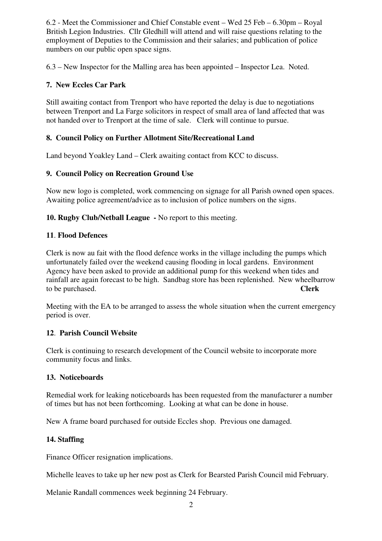6.2 - Meet the Commissioner and Chief Constable event – Wed 25 Feb – 6.30pm – Royal British Legion Industries. Cllr Gledhill will attend and will raise questions relating to the employment of Deputies to the Commission and their salaries; and publication of police numbers on our public open space signs.

6.3 – New Inspector for the Malling area has been appointed – Inspector Lea. Noted.

# **7. New Eccles Car Park**

Still awaiting contact from Trenport who have reported the delay is due to negotiations between Trenport and La Farge solicitors in respect of small area of land affected that was not handed over to Trenport at the time of sale. Clerk will continue to pursue.

## **8. Council Policy on Further Allotment Site/Recreational Land**

Land beyond Yoakley Land – Clerk awaiting contact from KCC to discuss.

## **9. Council Policy on Recreation Ground Use**

Now new logo is completed, work commencing on signage for all Parish owned open spaces. Awaiting police agreement/advice as to inclusion of police numbers on the signs.

**10. Rugby Club/Netball League -** No report to this meeting.

#### **11**. **Flood Defences**

Clerk is now au fait with the flood defence works in the village including the pumps which unfortunately failed over the weekend causing flooding in local gardens. Environment Agency have been asked to provide an additional pump for this weekend when tides and rainfall are again forecast to be high. Sandbag store has been replenished. New wheelbarrow to be purchased. **Clerk** 

Meeting with the EA to be arranged to assess the whole situation when the current emergency period is over.

## **12**. **Parish Council Website**

Clerk is continuing to research development of the Council website to incorporate more community focus and links.

## **13. Noticeboards**

Remedial work for leaking noticeboards has been requested from the manufacturer a number of times but has not been forthcoming. Looking at what can be done in house.

New A frame board purchased for outside Eccles shop. Previous one damaged.

## **14. Staffing**

Finance Officer resignation implications.

Michelle leaves to take up her new post as Clerk for Bearsted Parish Council mid February.

Melanie Randall commences week beginning 24 February.